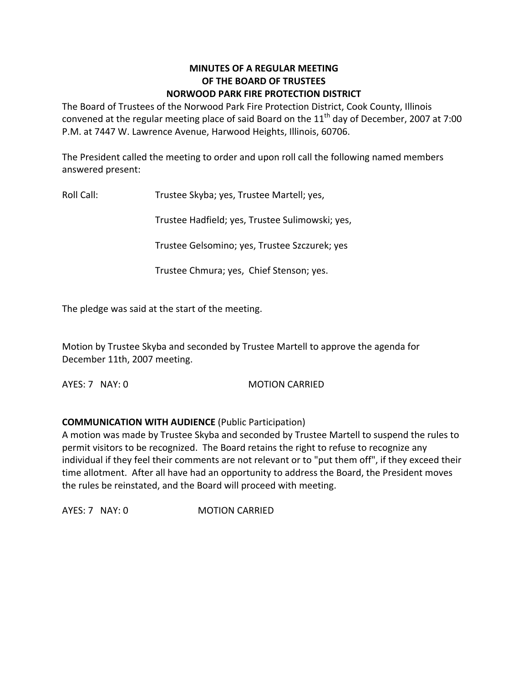#### **MINUTES OF A REGULAR MEETING OF THE BOARD OF TRUSTEES NORWOOD PARK FIRE PROTECTION DISTRICT**

The Board of Trustees of the Norwood Park Fire Protection District, Cook County, Illinois convened at the regular meeting place of said Board on the  $11<sup>th</sup>$  day of December, 2007 at 7:00 P.M. at 7447 W. Lawrence Avenue, Harwood Heights, Illinois, 60706.

The President called the meeting to order and upon roll call the following named members answered present:

Roll Call: Trustee Skyba; yes, Trustee Martell; yes,

Trustee Hadfield; yes, Trustee Sulimowski; yes,

Trustee Gelsomino; yes, Trustee Szczurek; yes

Trustee Chmura; yes, Chief Stenson; yes.

The pledge was said at the start of the meeting.

Motion by Trustee Skyba and seconded by Trustee Martell to approve the agenda for December 11th, 2007 meeting.

AYES: 7 NAY: 0 MOTION CARRIED

#### **COMMUNICATION WITH AUDIENCE** (Public Participation)

A motion was made by Trustee Skyba and seconded by Trustee Martell to suspend the rules to permit visitors to be recognized. The Board retains the right to refuse to recognize any individual if they feel their comments are not relevant or to "put them off", if they exceed their time allotment. After all have had an opportunity to address the Board, the President moves the rules be reinstated, and the Board will proceed with meeting.

AYES: 7 NAY: 0 **MOTION CARRIED**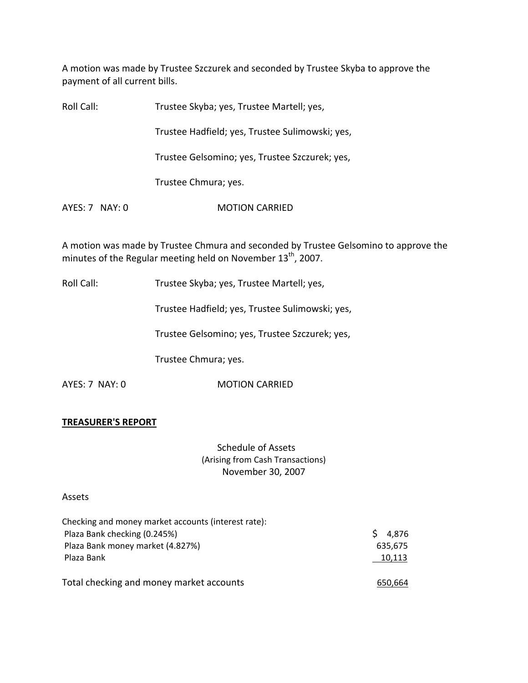A motion was made by Trustee Szczurek and seconded by Trustee Skyba to approve the payment of all current bills.

| Roll Call:     | Trustee Skyba; yes, Trustee Martell; yes,       |
|----------------|-------------------------------------------------|
|                | Trustee Hadfield; yes, Trustee Sulimowski; yes, |
|                | Trustee Gelsomino; yes, Trustee Szczurek; yes,  |
|                | Trustee Chmura; yes.                            |
| AYES: 7 NAY: 0 | <b>MOTION CARRIED</b>                           |
|                |                                                 |

A motion was made by Trustee Chmura and seconded by Trustee Gelsomino to approve the minutes of the Regular meeting held on November  $13^{\text{th}}$ , 2007.

Roll Call: Trustee Skyba; yes, Trustee Martell; yes,

Trustee Hadfield; yes, Trustee Sulimowski; yes,

Trustee Gelsomino; yes, Trustee Szczurek; yes,

Trustee Chmura; yes.

AYES: 7 NAY: 0 **MOTION CARRIED** 

#### **TREASURER'S REPORT**

Schedule of Assets (Arising from Cash Transactions) November 30, 2007

#### Assets

| Checking and money market accounts (interest rate): |             |
|-----------------------------------------------------|-------------|
| Plaza Bank checking (0.245%)                        | S.<br>4,876 |
| Plaza Bank money market (4.827%)                    | 635,675     |
| Plaza Bank                                          | 10,113      |
| Total checking and money market accounts            | 650,664     |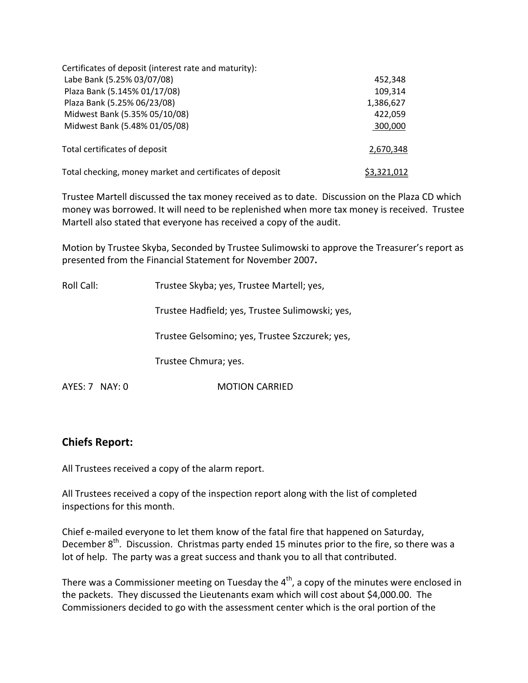| Certificates of deposit (interest rate and maturity):    |             |
|----------------------------------------------------------|-------------|
| Labe Bank (5.25% 03/07/08)                               | 452,348     |
| Plaza Bank (5.145% 01/17/08)                             | 109,314     |
| Plaza Bank (5.25% 06/23/08)                              | 1,386,627   |
| Midwest Bank (5.35% 05/10/08)                            | 422,059     |
| Midwest Bank (5.48% 01/05/08)                            | 300,000     |
| Total certificates of deposit                            | 2,670,348   |
| Total checking, money market and certificates of deposit | \$3,321,012 |

Trustee Martell discussed the tax money received as to date. Discussion on the Plaza CD which money was borrowed. It will need to be replenished when more tax money is received. Trustee Martell also stated that everyone has received a copy of the audit.

Motion by Trustee Skyba, Seconded by Trustee Sulimowski to approve the Treasurer's report as presented from the Financial Statement for November 2007**.**

| Roll Call:       | Trustee Skyba; yes, Trustee Martell; yes,       |
|------------------|-------------------------------------------------|
|                  | Trustee Hadfield; yes, Trustee Sulimowski; yes, |
|                  | Trustee Gelsomino; yes, Trustee Szczurek; yes,  |
|                  | Trustee Chmura; yes.                            |
| $AYES: 7$ NAY: 0 | <b>MOTION CARRIED</b>                           |

# **Chiefs Report:**

All Trustees received a copy of the alarm report.

All Trustees received a copy of the inspection report along with the list of completed inspections for this month.

Chief e‐mailed everyone to let them know of the fatal fire that happened on Saturday, December 8<sup>th</sup>. Discussion. Christmas party ended 15 minutes prior to the fire, so there was a lot of help. The party was a great success and thank you to all that contributed.

There was a Commissioner meeting on Tuesday the 4<sup>th</sup>, a copy of the minutes were enclosed in the packets. They discussed the Lieutenants exam which will cost about \$4,000.00. The Commissioners decided to go with the assessment center which is the oral portion of the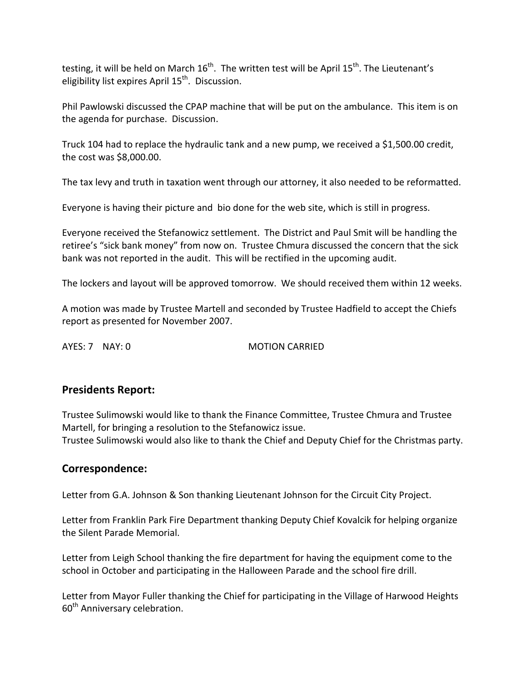testing, it will be held on March 16<sup>th</sup>. The written test will be April 15<sup>th</sup>. The Lieutenant's eligibility list expires April 15<sup>th</sup>. Discussion.

Phil Pawlowski discussed the CPAP machine that will be put on the ambulance. This item is on the agenda for purchase. Discussion.

Truck 104 had to replace the hydraulic tank and a new pump, we received a \$1,500.00 credit, the cost was \$8,000.00.

The tax levy and truth in taxation went through our attorney, it also needed to be reformatted.

Everyone is having their picture and bio done for the web site, which is still in progress.

Everyone received the Stefanowicz settlement. The District and Paul Smit will be handling the retiree's "sick bank money" from now on. Trustee Chmura discussed the concern that the sick bank was not reported in the audit. This will be rectified in the upcoming audit.

The lockers and layout will be approved tomorrow. We should received them within 12 weeks.

A motion was made by Trustee Martell and seconded by Trustee Hadfield to accept the Chiefs report as presented for November 2007.

AYES: 7 NAY: 0 MOTION CARRIED

# **Presidents Report:**

Trustee Sulimowski would like to thank the Finance Committee, Trustee Chmura and Trustee Martell, for bringing a resolution to the Stefanowicz issue. Trustee Sulimowski would also like to thank the Chief and Deputy Chief for the Christmas party.

# **Correspondence:**

Letter from G.A. Johnson & Son thanking Lieutenant Johnson for the Circuit City Project.

Letter from Franklin Park Fire Department thanking Deputy Chief Kovalcik for helping organize the Silent Parade Memorial.

Letter from Leigh School thanking the fire department for having the equipment come to the school in October and participating in the Halloween Parade and the school fire drill.

Letter from Mayor Fuller thanking the Chief for participating in the Village of Harwood Heights 60<sup>th</sup> Anniversary celebration.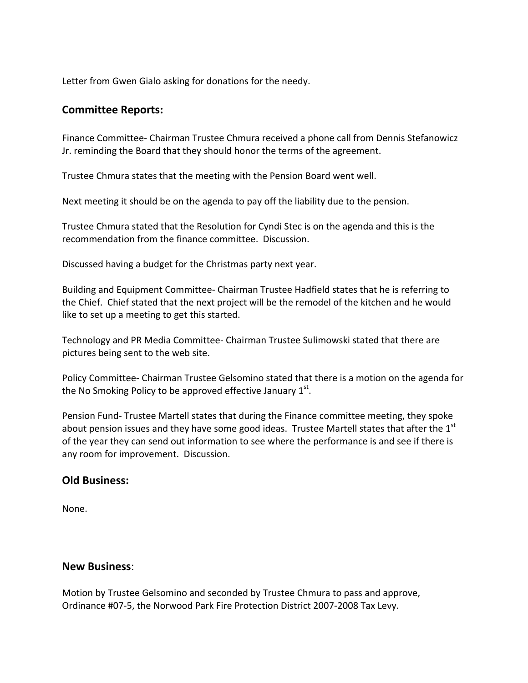Letter from Gwen Gialo asking for donations for the needy.

# **Committee Reports:**

Finance Committee‐ Chairman Trustee Chmura received a phone call from Dennis Stefanowicz Jr. reminding the Board that they should honor the terms of the agreement.

Trustee Chmura states that the meeting with the Pension Board went well.

Next meeting it should be on the agenda to pay off the liability due to the pension.

Trustee Chmura stated that the Resolution for Cyndi Stec is on the agenda and this is the recommendation from the finance committee. Discussion.

Discussed having a budget for the Christmas party next year.

Building and Equipment Committee‐ Chairman Trustee Hadfield states that he is referring to the Chief. Chief stated that the next project will be the remodel of the kitchen and he would like to set up a meeting to get this started.

Technology and PR Media Committee‐ Chairman Trustee Sulimowski stated that there are pictures being sent to the web site.

Policy Committee‐ Chairman Trustee Gelsomino stated that there is a motion on the agenda for the No Smoking Policy to be approved effective January  $1^\text{st}$ .

Pension Fund‐ Trustee Martell states that during the Finance committee meeting, they spoke about pension issues and they have some good ideas. Trustee Martell states that after the  $1<sup>st</sup>$ of the year they can send out information to see where the performance is and see if there is any room for improvement. Discussion.

# **Old Business:**

None.

#### **New Business**:

Motion by Trustee Gelsomino and seconded by Trustee Chmura to pass and approve, Ordinance #07‐5, the Norwood Park Fire Protection District 2007‐2008 Tax Levy.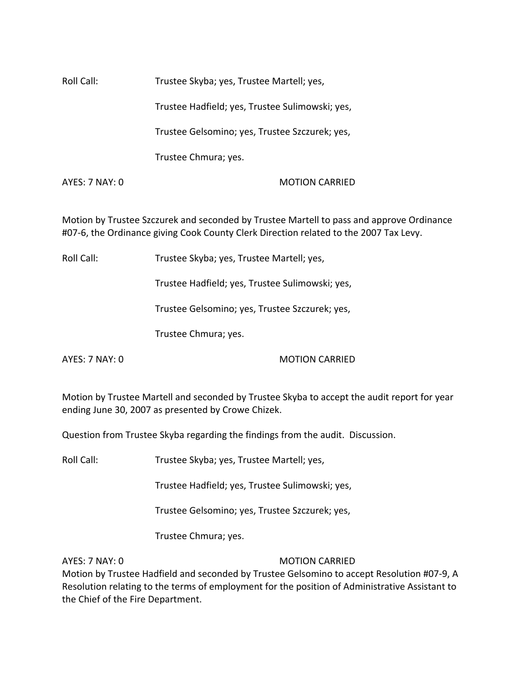Roll Call: Trustee Skyba; yes, Trustee Martell; yes, Trustee Hadfield; yes, Trustee Sulimowski; yes, Trustee Gelsomino; yes, Trustee Szczurek; yes, Trustee Chmura; yes. AYES: 7 NAY: 0 MOTION CARRIED

Motion by Trustee Szczurek and seconded by Trustee Martell to pass and approve Ordinance #07‐6, the Ordinance giving Cook County Clerk Direction related to the 2007 Tax Levy.

Roll Call: Trustee Skyba; yes, Trustee Martell; yes,

Trustee Hadfield; yes, Trustee Sulimowski; yes,

Trustee Gelsomino; yes, Trustee Szczurek; yes,

Trustee Chmura; yes.

AYES: 7 NAY: 0 MOTION CARRIED

Motion by Trustee Martell and seconded by Trustee Skyba to accept the audit report for year ending June 30, 2007 as presented by Crowe Chizek.

Question from Trustee Skyba regarding the findings from the audit. Discussion.

Roll Call: Trustee Skyba; yes, Trustee Martell; yes,

Trustee Hadfield; yes, Trustee Sulimowski; yes,

Trustee Gelsomino; yes, Trustee Szczurek; yes,

Trustee Chmura; yes.

AYES: 7 NAY: 0 MOTION CARRIED

Motion by Trustee Hadfield and seconded by Trustee Gelsomino to accept Resolution #07‐9, A Resolution relating to the terms of employment for the position of Administrative Assistant to the Chief of the Fire Department.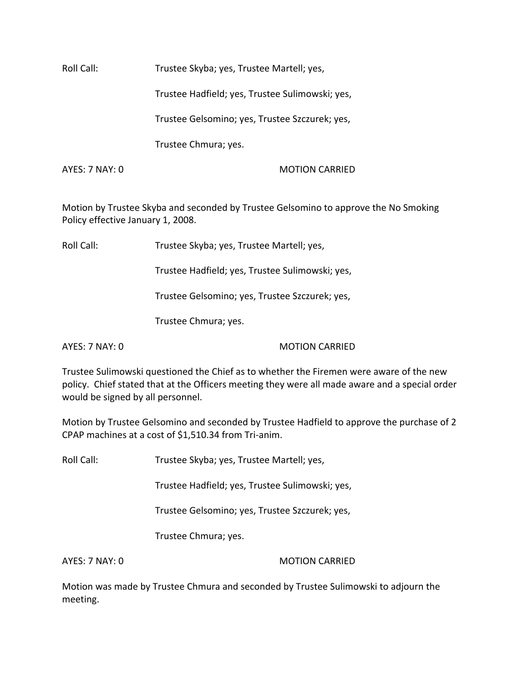Roll Call: Trustee Skyba; yes, Trustee Martell; yes, Trustee Hadfield; yes, Trustee Sulimowski; yes, Trustee Gelsomino; yes, Trustee Szczurek; yes, Trustee Chmura; yes. AYES: 7 NAY: 0 MOTION CARRIED

Motion by Trustee Skyba and seconded by Trustee Gelsomino to approve the No Smoking Policy effective January 1, 2008.

Roll Call: Trustee Skyba; yes, Trustee Martell; yes,

Trustee Hadfield; yes, Trustee Sulimowski; yes,

Trustee Gelsomino; yes, Trustee Szczurek; yes,

Trustee Chmura; yes.

AYES: 7 NAY: 0 MOTION CARRIED

Trustee Sulimowski questioned the Chief as to whether the Firemen were aware of the new policy. Chief stated that at the Officers meeting they were all made aware and a special order would be signed by all personnel.

Motion by Trustee Gelsomino and seconded by Trustee Hadfield to approve the purchase of 2 CPAP machines at a cost of \$1,510.34 from Tri‐anim.

Roll Call: Trustee Skyba; yes, Trustee Martell; yes,

Trustee Hadfield; yes, Trustee Sulimowski; yes,

Trustee Gelsomino; yes, Trustee Szczurek; yes,

Trustee Chmura; yes.

AYES: 7 NAY: 0 MOTION CARRIED

Motion was made by Trustee Chmura and seconded by Trustee Sulimowski to adjourn the meeting.